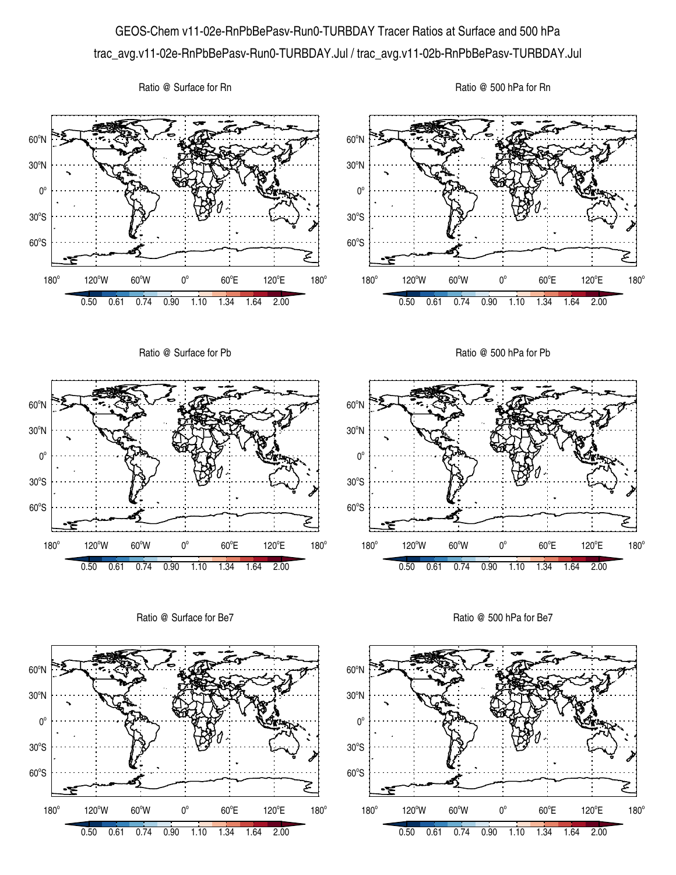## GEOS-Chem v11-02e-RnPbBePasv-Run0-TURBDAY Tracer Ratios at Surface and 500 hPa trac\_avg.v11-02e-RnPbBePasv-Run0-TURBDAY.Jul / trac\_avg.v11-02b-RnPbBePasv-TURBDAY.Jul

Ratio @ Surface for Rn